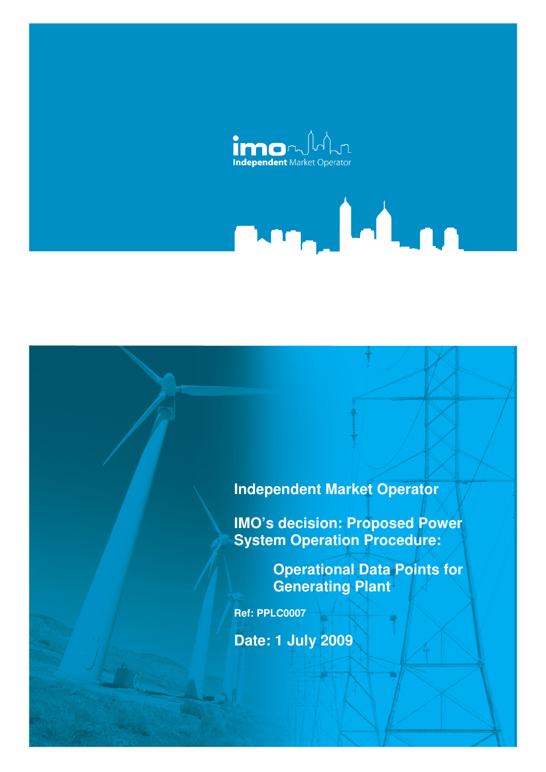

# **Independent Market Operator**

**IMO's decision: Proposed Power System Operation Procedure:** 

> **Operational Data Points for Generating Plant**

<u>n, Island</u>

**Ref: PPLC0007** 

**Date: 1 July 2009**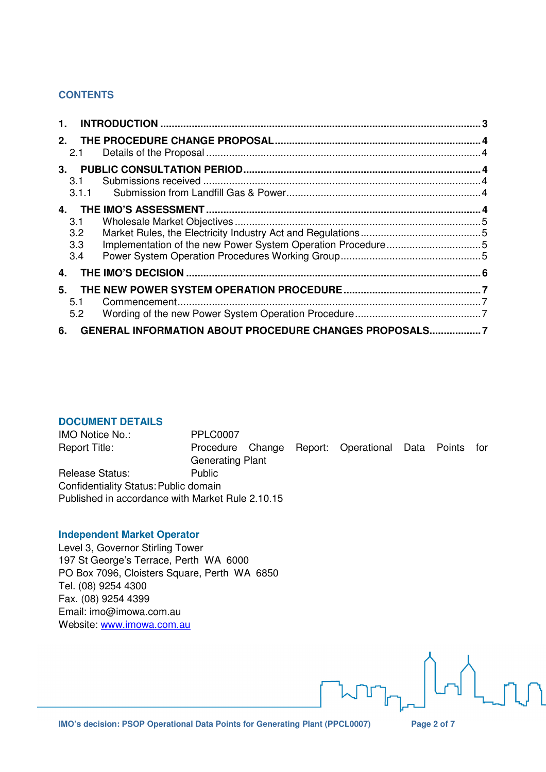## **CONTENTS**

| 1.                       |                                                        |  |
|--------------------------|--------------------------------------------------------|--|
| $2_{-}$<br>2.1           |                                                        |  |
| 3.<br>3.1<br>3.1.1       |                                                        |  |
| 3.1<br>3.2<br>3.3<br>3.4 |                                                        |  |
| 4.                       |                                                        |  |
| 5.<br>5.1<br>5.2         |                                                        |  |
| 6.                       | GENERAL INFORMATION ABOUT PROCEDURE CHANGES PROPOSALS7 |  |

#### **DOCUMENT DETAILS**

IMO Notice No.: PPLC0007 Report Title: Procedure Change Report: Operational Data Points for Generating Plant Release Status: Public Confidentiality Status: Public domain Published in accordance with Market Rule 2.10.15

#### **Independent Market Operator**

Level 3, Governor Stirling Tower 197 St George's Terrace, Perth WA 6000 PO Box 7096, Cloisters Square, Perth WA 6850 Tel. (08) 9254 4300 Fax. (08) 9254 4399 Email: imo@imowa.com.au Website: www.imowa.com.au

 $\lfloor n \rfloor$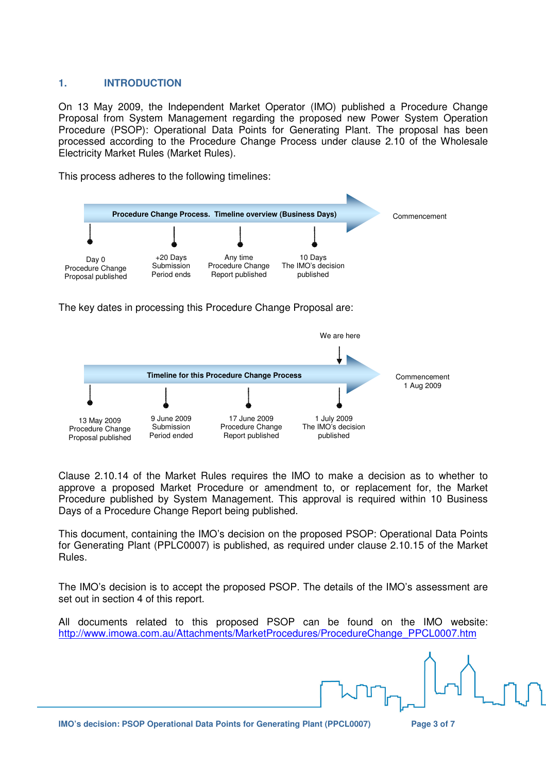#### **1. INTRODUCTION**

On 13 May 2009, the Independent Market Operator (IMO) published a Procedure Change Proposal from System Management regarding the proposed new Power System Operation Procedure (PSOP): Operational Data Points for Generating Plant. The proposal has been processed according to the Procedure Change Process under clause 2.10 of the Wholesale Electricity Market Rules (Market Rules).

This process adheres to the following timelines:



The key dates in processing this Procedure Change Proposal are:



Clause 2.10.14 of the Market Rules requires the IMO to make a decision as to whether to approve a proposed Market Procedure or amendment to, or replacement for, the Market Procedure published by System Management. This approval is required within 10 Business Days of a Procedure Change Report being published.

This document, containing the IMO's decision on the proposed PSOP: Operational Data Points for Generating Plant (PPLC0007) is published, as required under clause 2.10.15 of the Market Rules.

The IMO's decision is to accept the proposed PSOP. The details of the IMO's assessment are set out in section 4 of this report.

All documents related to this proposed PSOP can be found on the IMO website: http://www.imowa.com.au/Attachments/MarketProcedures/ProcedureChange\_PPCL0007.htm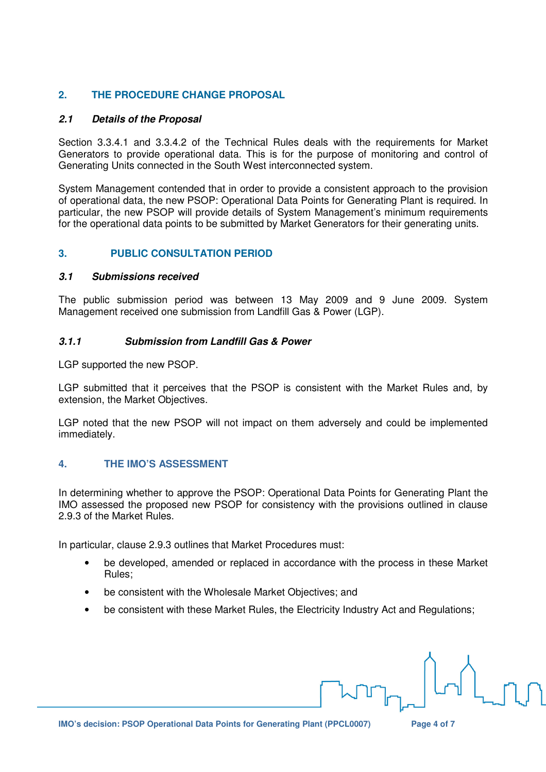# **2. THE PROCEDURE CHANGE PROPOSAL**

## **2.1 Details of the Proposal**

Section 3.3.4.1 and 3.3.4.2 of the Technical Rules deals with the requirements for Market Generators to provide operational data. This is for the purpose of monitoring and control of Generating Units connected in the South West interconnected system.

System Management contended that in order to provide a consistent approach to the provision of operational data, the new PSOP: Operational Data Points for Generating Plant is required. In particular, the new PSOP will provide details of System Management's minimum requirements for the operational data points to be submitted by Market Generators for their generating units.

# **3. PUBLIC CONSULTATION PERIOD**

## **3.1 Submissions received**

The public submission period was between 13 May 2009 and 9 June 2009. System Management received one submission from Landfill Gas & Power (LGP).

## **3.1.1 Submission from Landfill Gas & Power**

LGP supported the new PSOP.

LGP submitted that it perceives that the PSOP is consistent with the Market Rules and, by extension, the Market Objectives.

LGP noted that the new PSOP will not impact on them adversely and could be implemented immediately.

# **4. THE IMO'S ASSESSMENT**

In determining whether to approve the PSOP: Operational Data Points for Generating Plant the IMO assessed the proposed new PSOP for consistency with the provisions outlined in clause 2.9.3 of the Market Rules.

In particular, clause 2.9.3 outlines that Market Procedures must:

- be developed, amended or replaced in accordance with the process in these Market Rules;
- be consistent with the Wholesale Market Objectives; and
- be consistent with these Market Rules, the Electricity Industry Act and Regulations;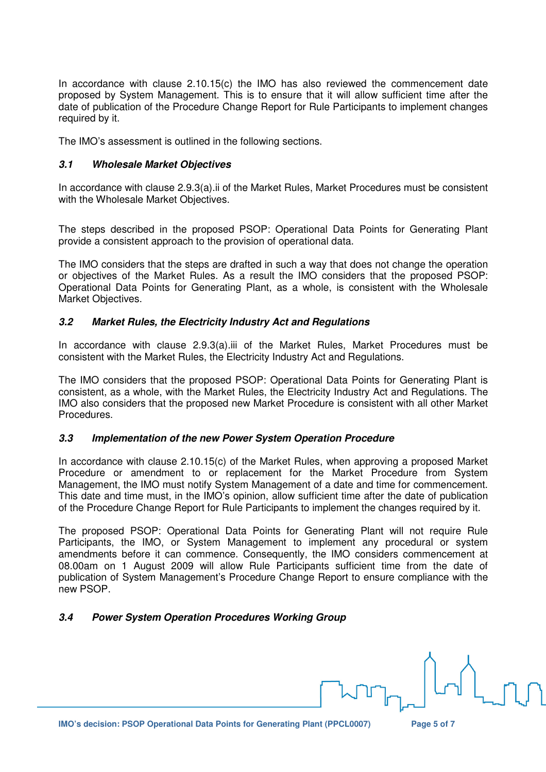In accordance with clause 2.10.15(c) the IMO has also reviewed the commencement date proposed by System Management. This is to ensure that it will allow sufficient time after the date of publication of the Procedure Change Report for Rule Participants to implement changes required by it.

The IMO's assessment is outlined in the following sections.

## **3.1 Wholesale Market Objectives**

In accordance with clause 2.9.3(a).ii of the Market Rules, Market Procedures must be consistent with the Wholesale Market Objectives.

The steps described in the proposed PSOP: Operational Data Points for Generating Plant provide a consistent approach to the provision of operational data.

The IMO considers that the steps are drafted in such a way that does not change the operation or objectives of the Market Rules. As a result the IMO considers that the proposed PSOP: Operational Data Points for Generating Plant, as a whole, is consistent with the Wholesale Market Objectives.

## **3.2 Market Rules, the Electricity Industry Act and Regulations**

In accordance with clause 2.9.3(a).iii of the Market Rules, Market Procedures must be consistent with the Market Rules, the Electricity Industry Act and Regulations.

The IMO considers that the proposed PSOP: Operational Data Points for Generating Plant is consistent, as a whole, with the Market Rules, the Electricity Industry Act and Regulations. The IMO also considers that the proposed new Market Procedure is consistent with all other Market Procedures.

## **3.3 Implementation of the new Power System Operation Procedure**

In accordance with clause 2.10.15(c) of the Market Rules, when approving a proposed Market Procedure or amendment to or replacement for the Market Procedure from System Management, the IMO must notify System Management of a date and time for commencement. This date and time must, in the IMO's opinion, allow sufficient time after the date of publication of the Procedure Change Report for Rule Participants to implement the changes required by it.

The proposed PSOP: Operational Data Points for Generating Plant will not require Rule Participants, the IMO, or System Management to implement any procedural or system amendments before it can commence. Consequently, the IMO considers commencement at 08.00am on 1 August 2009 will allow Rule Participants sufficient time from the date of publication of System Management's Procedure Change Report to ensure compliance with the new PSOP.

# **3.4 Power System Operation Procedures Working Group**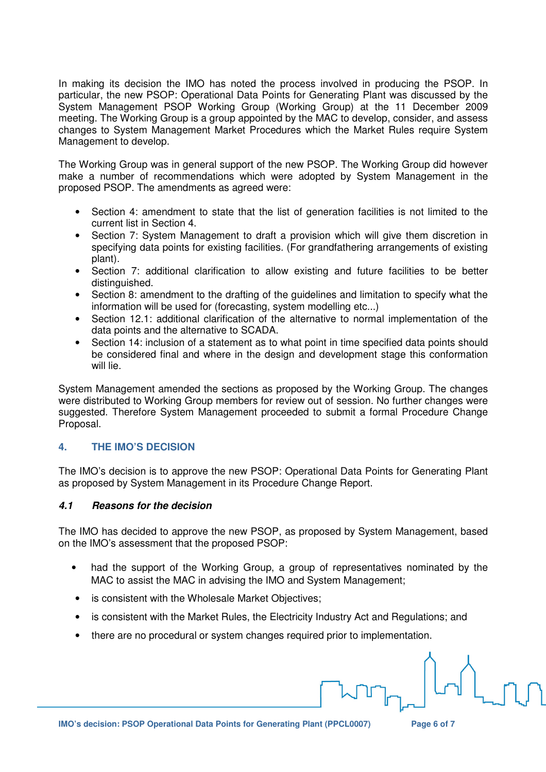In making its decision the IMO has noted the process involved in producing the PSOP. In particular, the new PSOP: Operational Data Points for Generating Plant was discussed by the System Management PSOP Working Group (Working Group) at the 11 December 2009 meeting. The Working Group is a group appointed by the MAC to develop, consider, and assess changes to System Management Market Procedures which the Market Rules require System Management to develop.

The Working Group was in general support of the new PSOP. The Working Group did however make a number of recommendations which were adopted by System Management in the proposed PSOP. The amendments as agreed were:

- Section 4: amendment to state that the list of generation facilities is not limited to the current list in Section 4.
- Section 7: System Management to draft a provision which will give them discretion in specifying data points for existing facilities. (For grandfathering arrangements of existing plant).
- Section 7: additional clarification to allow existing and future facilities to be better distinguished.
- Section 8: amendment to the drafting of the guidelines and limitation to specify what the information will be used for (forecasting, system modelling etc...)
- Section 12.1: additional clarification of the alternative to normal implementation of the data points and the alternative to SCADA.
- Section 14: inclusion of a statement as to what point in time specified data points should be considered final and where in the design and development stage this conformation will lie.

System Management amended the sections as proposed by the Working Group. The changes were distributed to Working Group members for review out of session. No further changes were suggested. Therefore System Management proceeded to submit a formal Procedure Change Proposal.

# **4. THE IMO'S DECISION**

The IMO's decision is to approve the new PSOP: Operational Data Points for Generating Plant as proposed by System Management in its Procedure Change Report.

# **4.1 Reasons for the decision**

The IMO has decided to approve the new PSOP, as proposed by System Management, based on the IMO's assessment that the proposed PSOP:

- had the support of the Working Group, a group of representatives nominated by the MAC to assist the MAC in advising the IMO and System Management;
- is consistent with the Wholesale Market Objectives;
- is consistent with the Market Rules, the Electricity Industry Act and Regulations; and
- there are no procedural or system changes required prior to implementation.